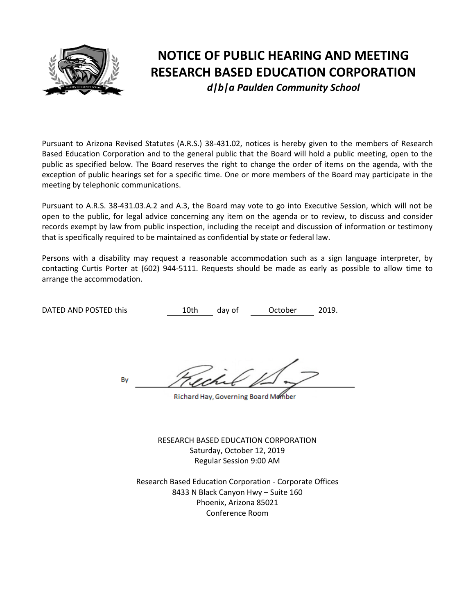

# **NOTICE OF PUBLIC HEARING AND MEETING RESEARCH BASED EDUCATION CORPORATION** *d|b|a Paulden Community School*

Pursuant to Arizona Revised Statutes (A.R.S.) 38-431.02, notices is hereby given to the members of Research Based Education Corporation and to the general public that the Board will hold a public meeting, open to the public as specified below. The Board reserves the right to change the order of items on the agenda, with the exception of public hearings set for a specific time. One or more members of the Board may participate in the meeting by telephonic communications.

Pursuant to A.R.S. 38-431.03.A.2 and A.3, the Board may vote to go into Executive Session, which will not be open to the public, for legal advice concerning any item on the agenda or to review, to discuss and consider records exempt by law from public inspection, including the receipt and discussion of information or testimony that is specifically required to be maintained as confidential by state or federal law.

Persons with a disability may request a reasonable accommodation such as a sign language interpreter, by contacting Curtis Porter at (602) 944-5111. Requests should be made as early as possible to allow time to arrange the accommodation.

DATED AND POSTED this  $10th$  day of October 2019.

By

Richard Hay, Governing Board Member

RESEARCH BASED EDUCATION CORPORATION Saturday, October 12, 2019 Regular Session 9:00 AM

Research Based Education Corporation - Corporate Offices 8433 N Black Canyon Hwy – Suite 160 Phoenix, Arizona 85021 Conference Room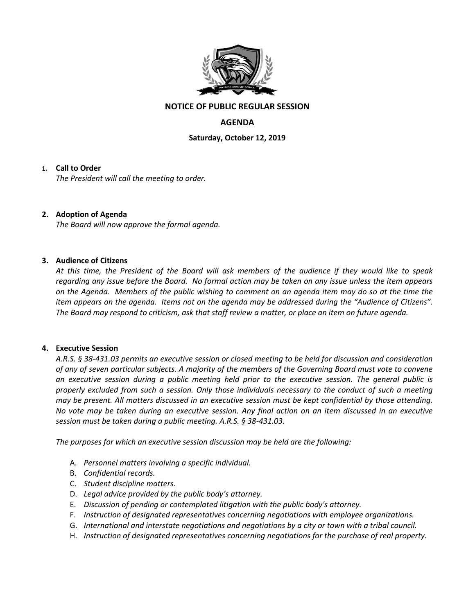

### **NOTICE OF PUBLIC REGULAR SESSION**

## **AGENDA**

**Saturday, October 12, 2019**

#### **1. Call to Order**

*The President will call the meeting to order.*

#### **2. Adoption of Agenda**

*The Board will now approve the formal agenda.*

#### **3. Audience of Citizens**

*At this time, the President of the Board will ask members of the audience if they would like to speak regarding any issue before the Board. No formal action may be taken on any issue unless the item appears on the Agenda. Members of the public wishing to comment on an agenda item may do so at the time the item appears on the agenda. Items not on the agenda may be addressed during the "Audience of Citizens". The Board may respond to criticism, ask that staff review a matter, or place an item on future agenda.*

#### **4. Executive Session**

*A.R.S. § 38-431.03 permits an executive session or closed meeting to be held for discussion and consideration of any of seven particular subjects. A majority of the members of the Governing Board must vote to convene an executive session during a public meeting held prior to the executive session. The general public is properly excluded from such a session. Only those individuals necessary to the conduct of such a meeting may be present. All matters discussed in an executive session must be kept confidential by those attending. No vote may be taken during an executive session. Any final action on an item discussed in an executive session must be taken during a public meeting. A.R.S. § 38-431.03.* 

*The purposes for which an executive session discussion may be held are the following:* 

- A. *Personnel matters involving a specific individual.*
- B. *Confidential records.*
- C. *Student discipline matters.*
- D. *Legal advice provided by the public body's attorney.*
- E. *Discussion of pending or contemplated litigation with the public body's attorney.*
- F. *Instruction of designated representatives concerning negotiations with employee organizations.*
- G. *International and interstate negotiations and negotiations by a city or town with a tribal council.*
- H. *Instruction of designated representatives concerning negotiations for the purchase of real property.*